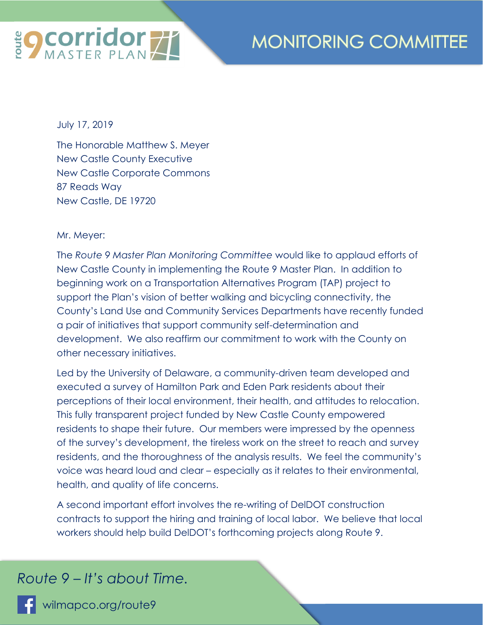

## **MONITORING COMMITTEE**

July 17, 2019

The Honorable Matthew S. Meyer New Castle County Executive New Castle Corporate Commons 87 Reads Way New Castle, DE 19720

Mr. Meyer:

The *Route 9 Master Plan Monitoring Committee* would like to applaud efforts of New Castle County in implementing the Route 9 Master Plan. In addition to beginning work on a Transportation Alternatives Program (TAP) project to support the Plan's vision of better walking and bicycling connectivity, the County's Land Use and Community Services Departments have recently funded a pair of initiatives that support community self-determination and development. We also reaffirm our commitment to work with the County on other necessary initiatives.

Led by the University of Delaware, a community-driven team developed and executed a survey of Hamilton Park and Eden Park residents about their perceptions of their local environment, their health, and attitudes to relocation. This fully transparent project funded by New Castle County empowered residents to shape their future. Our members were impressed by the openness of the survey's development, the tireless work on the street to reach and survey residents, and the thoroughness of the analysis results. We feel the community's voice was heard loud and clear – especially as it relates to their environmental, health, and quality of life concerns.

A second important effort involves the re-writing of DelDOT construction contracts to support the hiring and training of local labor. We believe that local workers should help build DelDOT's forthcoming projects along Route 9.

*Route 9 – It's about Time.* 

wilmapco.org/route9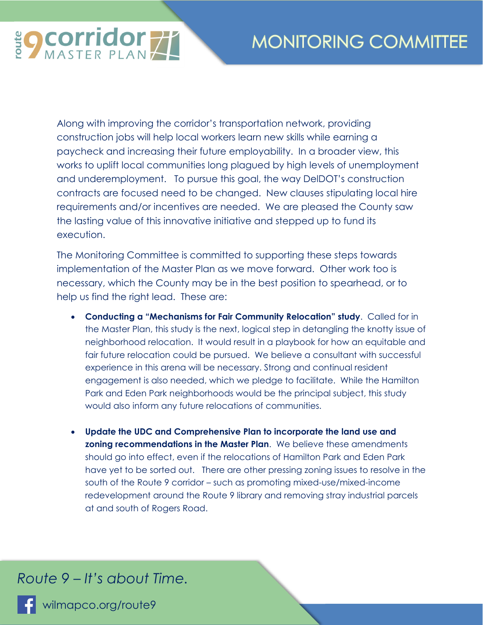**EQ COrridor 77** 

Along with improving the corridor's transportation network, providing construction jobs will help local workers learn new skills while earning a paycheck and increasing their future employability. In a broader view, this works to uplift local communities long plagued by high levels of unemployment and underemployment. To pursue this goal, the way DelDOT's construction contracts are focused need to be changed. New clauses stipulating local hire requirements and/or incentives are needed. We are pleased the County saw the lasting value of this innovative initiative and stepped up to fund its execution.

The Monitoring Committee is committed to supporting these steps towards implementation of the Master Plan as we move forward. Other work too is necessary, which the County may be in the best position to spearhead, or to help us find the right lead. These are:

- **Conducting a "Mechanisms for Fair Community Relocation" study**. Called for in the Master Plan, this study is the next, logical step in detangling the knotty issue of neighborhood relocation. It would result in a playbook for how an equitable and fair future relocation could be pursued. We believe a consultant with successful experience in this arena will be necessary. Strong and continual resident engagement is also needed, which we pledge to facilitate. While the Hamilton Park and Eden Park neighborhoods would be the principal subject, this study would also inform any future relocations of communities.
- **Update the UDC and Comprehensive Plan to incorporate the land use and zoning recommendations in the Master Plan**. We believe these amendments should go into effect, even if the relocations of Hamilton Park and Eden Park have yet to be sorted out. There are other pressing zoning issues to resolve in the south of the Route 9 corridor – such as promoting mixed-use/mixed-income redevelopment around the Route 9 library and removing stray industrial parcels at and south of Rogers Road.

*Route 9 – It's about Time.* 

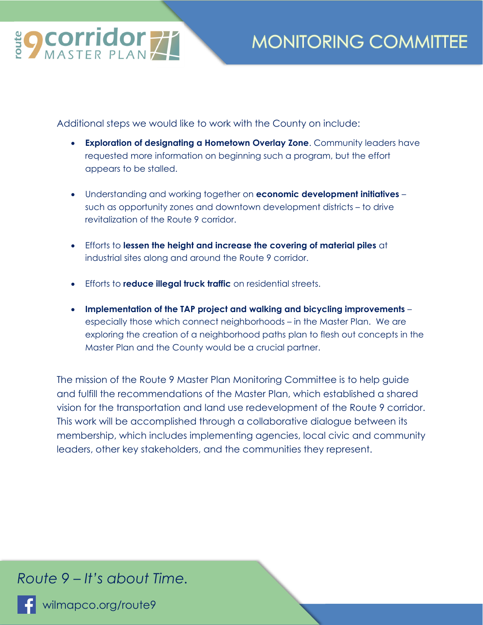

## **MONITORING COMMITTEE**

Additional steps we would like to work with the County on include:

- **Exploration of designating a Hometown Overlay Zone**. Community leaders have requested more information on beginning such a program, but the effort appears to be stalled.
- Understanding and working together on **economic development initiatives** such as opportunity zones and downtown development districts – to drive revitalization of the Route 9 corridor.
- Efforts to **lessen the height and increase the covering of material piles** at industrial sites along and around the Route 9 corridor.
- Efforts to **reduce illegal truck traffic** on residential streets.
- **Implementation of the TAP project and walking and bicycling improvements** especially those which connect neighborhoods – in the Master Plan. We are exploring the creation of a neighborhood paths plan to flesh out concepts in the Master Plan and the County would be a crucial partner.

The mission of the Route 9 Master Plan Monitoring Committee is to help guide and fulfill the recommendations of the Master Plan, which established a shared vision for the transportation and land use redevelopment of the Route 9 corridor. This work will be accomplished through a collaborative dialogue between its membership, which includes implementing agencies, local civic and community leaders, other key stakeholders, and the communities they represent.

## *Route 9 – It's about Time.*

wilmapco.org/route9